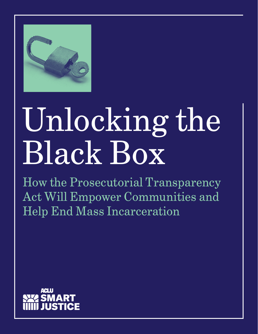

# Unlocking the Black Box

How the Prosecutorial Transparency Act Will Empower Communities and Help End Mass Incarceration

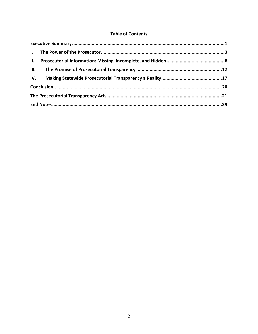## **Table of Contents**

| II. |  |  |
|-----|--|--|
|     |  |  |
|     |  |  |
|     |  |  |
|     |  |  |
|     |  |  |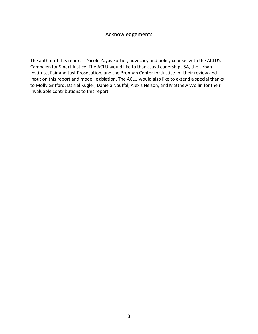# Acknowledgements

The author of this report is Nicole Zayas Fortier, advocacy and policy counsel with the ACLU's Campaign for Smart Justice. The ACLU would like to thank JustLeadershipUSA, the Urban Institute, Fair and Just Prosecution, and the Brennan Center for Justice for their review and input on this report and model legislation. The ACLU would also like to extend a special thanks to Molly Griffard, Daniel Kugler, Daniela Nauffal, Alexis Nelson, and Matthew Wollin for their invaluable contributions to this report.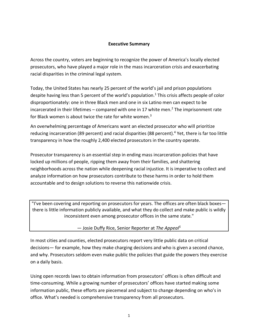#### **Executive Summary**

Across the country, voters are beginning to recognize the power of America's locally elected prosecutors, who have played a major role in the mass incarceration crisis and exacerbating racial disparities in the criminal legal system.

Today, the United States has nearly 25 percent of the world's jail and prison populations despite having less than 5 percent of the world's population.<sup>1</sup> This crisis affects people of color disproportionately: one in three Black men and one in six Latino men can expect to be incarcerated in their lifetimes – compared with one in 17 white men.<sup>2</sup> The imprisonment rate for Black women is about twice the rate for white women.<sup>3</sup>

An overwhelming percentage of Americans want an elected prosecutor who will prioritize reducing incarceration (89 percent) and racial disparities (88 percent).<sup>4</sup> Yet, there is far too little transparency in how the roughly 2,400 elected prosecutors in the country operate.

Prosecutor transparency is an essential step in ending mass incarceration policies that have locked up millions of people, ripping them away from their families, and shattering neighborhoods across the nation while deepening racial injustice. It is imperative to collect and analyze information on how prosecutors contribute to these harms in order to hold them accountable and to design solutions to reverse this nationwide crisis.

"I've been covering and reporting on prosecutors for years. The offices are often black boxes there is little information publicly available, and what they do collect and make public is wildly inconsistent even among prosecutor offices in the same state."

— Josie Duffy Rice, Senior Reporter at *The Appeal5*

In most cities and counties, elected prosecutors report very little public data on critical decisions— for example, how they make charging decisions and who is given a second chance, and why. Prosecutors seldom even make public the policies that guide the powers they exercise on a daily basis.

Using open records laws to obtain information from prosecutors' offices is often difficult and time-consuming. While a growing number of prosecutors' offices have started making some information public, these efforts are piecemeal and subject to change depending on who's in office. What's needed is comprehensive transparency from all prosecutors.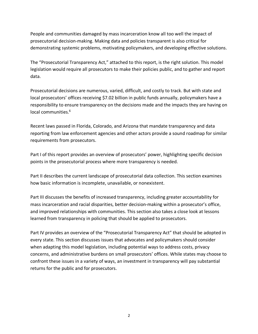People and communities damaged by mass incarceration know all too well the impact of prosecutorial decision-making. Making data and policies transparent is also critical for demonstrating systemic problems, motivating policymakers, and developing effective solutions.

The "Prosecutorial Transparency Act," attached to this report, is the right solution. This model legislation would require all prosecutors to make their policies public, and to gather and report data.

Prosecutorial decisions are numerous, varied, difficult, and costly to track. But with state and local prosecutors' offices receiving \$7.02 billion in public funds annually, policymakers have a responsibility to ensure transparency on the decisions made and the impacts they are having on local communities.<sup>6</sup>

Recent laws passed in Florida, Colorado, and Arizona that mandate transparency and data reporting from law enforcement agencies and other actors provide a sound roadmap for similar requirements from prosecutors.

Part I of this report provides an overview of prosecutors' power, highlighting specific decision points in the prosecutorial process where more transparency is needed.

Part II describes the current landscape of prosecutorial data collection. This section examines how basic information is incomplete, unavailable, or nonexistent.

Part III discusses the benefits of increased transparency, including greater accountability for mass incarceration and racial disparities, better decision-making within a prosecutor's office, and improved relationships with communities. This section also takes a close look at lessons learned from transparency in policing that should be applied to prosecutors.

Part IV provides an overview of the "Prosecutorial Transparency Act" that should be adopted in every state. This section discusses issues that advocates and policymakers should consider when adapting this model legislation, including potential ways to address costs, privacy concerns, and administrative burdens on small prosecutors' offices. While states may choose to confront these issues in a variety of ways, an investment in transparency will pay substantial returns for the public and for prosecutors.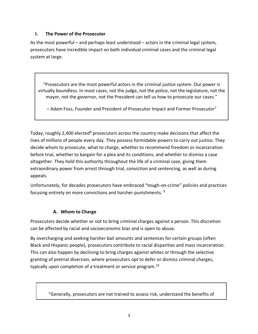## **I. The Power of the Prosecutor**

As the most powerful – and perhaps least understood – actors in the criminal legal system, prosecutors have incredible impact on both individual criminal cases and the criminal legal system at large.

"Prosecutors are the most powerful actors in the criminal justice system. Our power is virtually boundless. In most cases, not the judge, not the police, not the legislature, not the mayor, not the governor, not the President can tell us how to prosecute our cases."

 $-$  Adam Foss, Founder and President of Prosecutor Impact and Former Prosecutor<sup>7</sup>

Today, roughly 2,400 elected<sup>8</sup> prosecutors across the country make decisions that affect the lives of millions of people every day. They possess formidable powers to carry out justice. They decide whom to prosecute, what to charge, whether to recommend freedom or incarceration before trial, whether to bargain for a plea and its conditions, and whether to dismiss a case altogether. They hold this authority throughout the life of a criminal case, giving them extraordinary power from arrest through trial, conviction and sentencing, as well as during appeals.

Unfortunately, for decades prosecutors have embraced "tough-on-crime" policies and practices focusing entirely on more convictions and harsher punishments. 9

## **A. Whom to Charge**

Prosecutors decide whether or not to bring criminal charges against a person. This discretion can be affected by racial and socioeconomic bias and is open to abuse.

By overcharging and seeking harsher bail amounts and sentences for certain groups (often Black and Hispanic people), prosecutors contribute to racial disparities and mass incarceration. This can also happen by declining to bring charges against whites or through the selective granting of pretrial diversion, where prosecutors opt to defer or dismiss criminal charges, typically upon completion of a treatment or service program.<sup>10</sup>

"Generally, prosecutors are not trained to assess risk, understand the benefits of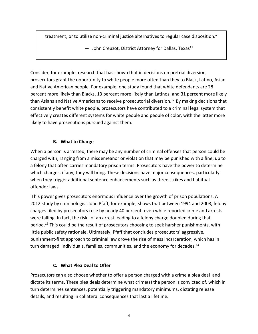treatment, or to utilize non-criminal justice alternatives to regular case disposition."

- John Creuzot, District Attorney for Dallas, Texas<sup>11</sup>

Consider, for example, research that has shown that in decisions on pretrial diversion, prosecutors grant the opportunity to white people more often than they to Black, Latino, Asian and Native American people. For example, one study found that white defendants are 28 percent more likely than Blacks, 13 percent more likely than Latinos, and 31 percent more likely than Asians and Native Americans to receive prosecutorial diversion.<sup>12</sup> By making decisions that consistently benefit white people, prosecutors have contributed to a criminal legal system that effectively creates different systems for white people and people of color, with the latter more likely to have prosecutions pursued against them.

## **B. What to Charge**

When a person is arrested, there may be any number of criminal offenses that person could be charged with, ranging from a misdemeanor or violation that may be punished with a fine, up to a felony that often carries mandatory prison terms. Prosecutors have the power to determine which charges, if any, they will bring. These decisions have major consequences, particularly when they trigger additional sentence enhancements such as three strikes and habitual offender laws.

This power gives prosecutors enormous influence over the growth of prison populations. A 2012 study by criminologist John Pfaff, for example, shows that between 1994 and 2008, felony charges filed by prosecutors rose by nearly 40 percent, even while reported crime and arrests were falling. In fact, the risk of an arrest leading to a felony charge doubled during that period.<sup>13</sup> This could be the result of prosecutors choosing to seek harsher punishments, with little public safety rationale. Ultimately, Pfaff that concludes prosecutors' aggressive, punishment-first approach to criminal law drove the rise of mass incarceration, which has in turn damaged individuals, families, communities, and the economy for decades.<sup>14</sup>

## **C. What Plea Deal to Offer**

Prosecutors can also choose whether to offer a person charged with a crime a plea deal and dictate its terms. These plea deals determine what crime(s) the person is convicted of, which in turn determines sentences, potentially triggering mandatory minimums, dictating release details, and resulting in collateral consequences that last a lifetime.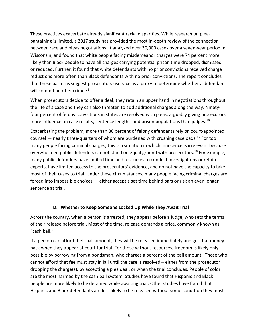These practices exacerbate already significant racial disparities. While research on pleabargaining is limited, a 2017 study has provided the most in-depth review of the connection between race and pleas negotiations. It analyzed over 30,000 cases over a seven-year period in Wisconsin, and found that white people facing misdemeanor charges were 74 percent more likely than Black people to have all charges carrying potential prison time dropped, dismissed, or reduced. Further, it found that white defendants with no prior convictions received charge reductions more often than Black defendants with no prior convictions. The report concludes that these patterns suggest prosecutors use race as a proxy to determine whether a defendant will commit another crime.<sup>15</sup>

When prosecutors decide to offer a deal, they retain an upper hand in negotiations throughout the life of a case and they can also threaten to add additional charges along the way. Ninetyfour percent of felony convictions in states are resolved with pleas, arguably giving prosecutors more influence on case results, sentence lengths, and prison populations than judges. 16

Exacerbating the problem, more than 80 percent of felony defendants rely on court-appointed counsel — nearly three-quarters of whom are burdened with crushing caseloads.<sup>17</sup> For too many people facing criminal charges, this is a situation in which innocence is irrelevant because overwhelmed public defenders cannot stand on equal ground with prosecutors.<sup>18</sup> For example, many public defenders have limited time and resources to conduct investigations or retain experts, have limited access to the prosecutors' evidence, and do not have the capacity to take most of their cases to trial. Under these circumstances, many people facing criminal charges are forced into impossible choices — either accept a set time behind bars or risk an even longer sentence at trial.

#### **D. Whether to Keep Someone Locked Up While They Await Trial**

Across the country, when a person is arrested, they appear before a judge, who sets the terms of their release before trial. Most of the time, release demands a price, commonly known as "cash bail."

If a person can afford their bail amount, they will be released immediately and get that money back when they appear at court for trial. For those without resources, freedom is likely only possible by borrowing from a bondsman, who charges a percent of the bail amount. Those who cannot afford that fee must stay in jail until the case is resolved – either from the prosecutor dropping the charge(s), by accepting a plea deal, or when the trial concludes. People of color are the most harmed by the cash bail system. Studies have found that Hispanic and Black people are more likely to be detained while awaiting trial. Other studies have found that Hispanic and Black defendants are less likely to be released without some condition they must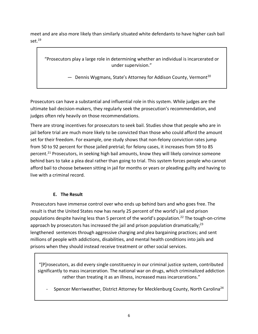meet and are also more likely than similarly situated white defendants to have higher cash bail set.<sup>19</sup>

"Prosecutors play a large role in determining whether an individual is incarcerated or under supervision."

 $-$  Dennis Wygmans, State's Attorney for Addison County, Vermont<sup>20</sup>

Prosecutors can have a substantial and influential role in this system. While judges are the ultimate bail decision-makers, they regularly seek the prosecution's recommendation, and judges often rely heavily on those recommendations.

There are strong incentives for prosecutors to seek bail. Studies show that people who are in jail before trial are much more likely to be convicted than those who could afford the amount set for their freedom. For example, one study shows that non-felony conviction rates jump from 50 to 92 percent for those jailed pretrial; for felony cases, it increases from 59 to 85 percent.<sup>21</sup> Prosecutors, in seeking high bail amounts, know they will likely convince someone behind bars to take a plea deal rather than going to trial. This system forces people who cannot afford bail to choose between sitting in jail for months or years or pleading guilty and having to live with a criminal record.

## **E. The Result**

Prosecutors have immense control over who ends up behind bars and who goes free. The result is that the United States now has nearly 25 percent of the world's jail and prison populations despite having less than 5 percent of the world's population.<sup>22</sup> The tough-on-crime approach by prosecutors has increased the jail and prison population dramatically; $^{23}$ lengthened sentences through aggressive charging and plea bargaining practices; and sent millions of people with addictions, disabilities, and mental health conditions into jails and prisons when they should instead receive treatment or other social services.

"[P]rosecutors, as did every single constituency in our criminal justice system, contributed significantly to mass incarceration. The national war on drugs, which criminalized addiction rather than treating it as an illness, increased mass incarcerations."

Spencer Merriweather, District Attorney for Mecklenburg County, North Carolina<sup>24</sup>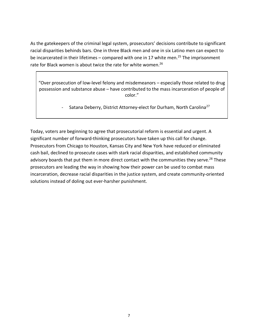As the gatekeepers of the criminal legal system, prosecutors' decisions contribute to significant racial disparities behinds bars. One in three Black men and one in six Latino men can expect to be incarcerated in their lifetimes – compared with one in 17 white men.<sup>25</sup> The imprisonment rate for Black women is about twice the rate for white women.<sup>26</sup>

"Over prosecution of low-level felony and misdemeanors – especially those related to drug possession and substance abuse – have contributed to the mass incarceration of people of color."

Satana Deberry, District Attorney-elect for Durham, North Carolina<sup>27</sup>

Today, voters are beginning to agree that prosecutorial reform is essential and urgent. A significant number of forward-thinking prosecutors have taken up this call for change. Prosecutors from Chicago to Houston, Kansas City and New York have reduced or eliminated cash bail, declined to prosecute cases with stark racial disparities, and established community advisory boards that put them in more direct contact with the communities they serve.<sup>28</sup> These prosecutors are leading the way in showing how their power can be used to combat mass incarceration, decrease racial disparities in the justice system, and create community-oriented solutions instead of doling out ever-harsher punishment.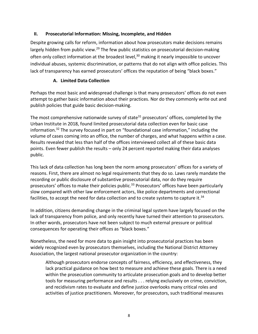## **II. Prosecutorial Information: Missing, Incomplete, and Hidden**

Despite growing calls for reform, information about how prosecutors make decisions remains largely hidden from public view.<sup>29</sup> The few public statistics on prosecutorial decision-making often only collect information at the broadest level,<sup>30</sup> making it nearly impossible to uncover individual abuses, systemic discrimination, or patterns that do not align with office policies. This lack of transparency has earned prosecutors' offices the reputation of being "black boxes."

## **A. Limited Data Collection**

Perhaps the most basic and widespread challenge is that many prosecutors' offices do not even attempt to gather basic information about their practices. Nor do they commonly write out and publish policies that guide basic decision-making.

The most comprehensive nationwide survey of state<sup>31</sup> prosecutors' offices, completed by the Urban Institute in 2018, found limited prosecutorial data collection even for basic case information.32 The survey focused in part on "foundational case information," including the volume of cases coming into an office, the number of charges, and what happens within a case. Results revealed that less than half of the offices interviewed collect all of these basic data points. Even fewer publish the results – only 24 percent reported making their data analyses public.

This lack of data collection has long been the norm among prosecutors' offices for a variety of reasons. First, there are almost no legal requirements that they do so. Laws rarely mandate the recording or public disclosure of substantive prosecutorial data, nor do they require prosecutors' offices to make their policies public.<sup>33</sup> Prosecutors' offices have been particularly slow compared with other law enforcement actors, like police departments and correctional facilities, to accept the need for data collection and to create systems to capture it.<sup>34</sup>

In addition, citizens demanding change in the criminal legal system have largely focused on the lack of transparency from police, and only recently have turned their attention to prosecutors. In other words, prosecutors have not been subject to much external pressure or political consequences for operating their offices as "black boxes."

Nonetheless, the need for more data to gain insight into prosecutorial practices has been widely recognized even by prosecutors themselves, including the National District Attorney Association, the largest national prosecutor organization in the country:

Although prosecutors endorse concepts of fairness, efficiency, and effectiveness, they lack practical guidance on how best to measure and achieve these goals. There is a need within the prosecution community to articulate prosecution goals and to develop better tools for measuring performance and results . . . relying exclusively on crime, conviction, and recidivism rates to evaluate and define justice overlooks many critical roles and activities of justice practitioners. Moreover, for prosecutors, such traditional measures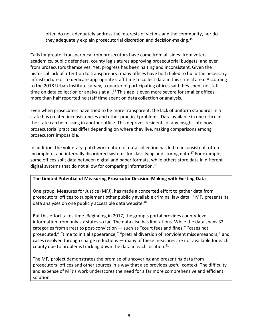often do not adequately address the interests of victims and the community, nor do they adequately explain prosecutorial discretion and decision-making.<sup>35</sup>

Calls for greater transparency from prosecutors have come from all sides: from voters, academics, public defenders, county legislatures approving prosecutorial budgets, and even from prosecutors themselves. Yet, progress has been halting and inconsistent. Given the historical lack of attention to transparency, many offices have both failed to build the necessary infrastructure or to dedicate appropriate staff time to collect data in this critical area. According to the 2018 Urban Institute survey, a quarter of participating offices said they spent no staff time on data collection or analysis at all.<sup>36</sup> This gap is even more severe for smaller offices – more than half reported no staff time spent on data collection or analysis.

Even when prosecutors have tried to be more transparent, the lack of uniform standards in a state has created inconsistencies and other practical problems. Data available in one office in the state can be missing in another office. This deprives residents of any insight into how prosecutorial practices differ depending on where they live, making comparisons among prosecutors impossible.

In addition, the voluntary, patchwork nature of data collection has led to inconsistent, often incomplete, and internally disordered systems for classifying and storing data.<sup>37</sup> For example, some offices split data between digital and paper formats, while others store data in different digital systems that do not allow for comparing information.<sup>38</sup>

#### **The Limited Potential of Measuring Prosecutor Decision-Making with Existing Data**

One group, Measures for Justice (MFJ), has made a concerted effort to gather data from prosecutors' offices to supplement other publicly available criminal law data.<sup>39</sup> MFJ presents its data analyses on one publicly accessible data website.<sup>40</sup>

But this effort takes time. Beginning in 2017, the group's portal provides county-level information from only six states so far. The data also has limitations. While the data spans 32 categories from arrest to post-conviction — such as "court fees and fines," "cases not prosecuted," "time to initial appearance," "pretrial diversion of nonviolent misdemeanors," and cases resolved through charge reductions — many of these measures are not available for each county due to problems tracking down the data in each location.<sup>41</sup>

The MFJ project demonstrates the promise of uncovering and presenting data from prosecutors' offices and other sources in a way that also provides useful context. The difficulty and expense of MFJ's work underscores the need for a far more comprehensive and efficient solution.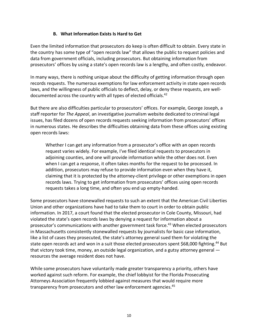## **B. What Information Exists Is Hard to Get**

Even the limited information that prosecutors do keep is often difficult to obtain. Every state in the country has some type of "open records law" that allows the public to request policies and data from government officials, including prosecutors. But obtaining information from prosecutors' offices by using a state's open records law is a lengthy, and often costly, endeavor.

In many ways, there is nothing unique about the difficulty of getting information through open records requests. The numerous exemptions for law enforcement activity in state open records laws, and the willingness of public officials to deflect, delay, or deny these requests, are welldocumented across the country with all types of elected officials.<sup>42</sup>

But there are also difficulties particular to prosecutors' offices. For example, George Joseph, a staff reporter for *The Appeal*, an investigative journalism website dedicated to criminal legal issues, has filed dozens of open records requests seeking information from prosecutors' offices in numerous states. He describes the difficulties obtaining data from these offices using existing open records laws:

Whether I can get any information from a prosecutor's office with an open records request varies widely. For example, I've filed identical requests to prosecutors in adjoining counties, and one will provide information while the other does not. Even when I can get a response, it often takes months for the request to be processed. In addition, prosecutors may refuse to provide information even when they have it, claiming that it is protected by the attorney-client privilege or other exemptions in open records laws. Trying to get information from prosecutors' offices using open records requests takes a long time, and often you end up empty-handed.

Some prosecutors have stonewalled requests to such an extent that the American Civil Liberties Union and other organizations have had to take them to court in order to obtain public information. In 2017, a court found that the elected prosecutor in Cole County, Missouri, had violated the state's open records laws by denying a request for information about a prosecutor's communications with another government task force.<sup>43</sup> When elected prosecutors in Massachusetts consistently stonewalled requests by journalists for basic case information, like a list of cases they prosecuted, the state's attorney general sued them for violating the state open records act and won in a suit those elected prosecutors spent \$68,000 fighting.<sup>44</sup> But that victory took time, money, an outside legal organization, and a gutsy attorney general resources the average resident does not have.

While some prosecutors have voluntarily made greater transparency a priority, others have worked against such reform. For example, the chief lobbyist for the Florida Prosecuting Attorneys Association frequently lobbied against measures that would require more transparency from prosecutors and other law enforcement agencies.<sup>45</sup>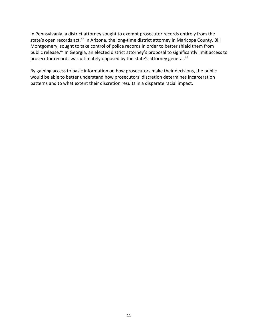In Pennsylvania, a district attorney sought to exempt prosecutor records entirely from the state's open records act.<sup>46</sup> In Arizona, the long-time district attorney in Maricopa County, Bill Montgomery, sought to take control of police records in order to better shield them from public release.47 In Georgia, an elected district attorney's proposal to significantly limit access to prosecutor records was ultimately opposed by the state's attorney general.<sup>48</sup>

By gaining access to basic information on how prosecutors make their decisions, the public would be able to better understand how prosecutors' discretion determines incarceration patterns and to what extent their discretion results in a disparate racial impact.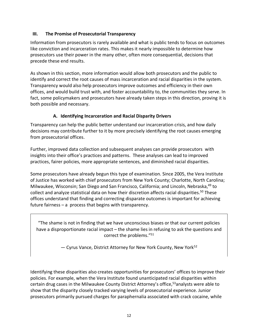## **III. The Promise of Prosecutorial Transparency**

Information from prosecutors is rarely available and what is public tends to focus on outcomes like conviction and incarceration rates. This makes it nearly impossible to determine how prosecutors use their power in the many other, often more consequential, decisions that precede these end results.

As shown in this section, more information would allow both prosecutors and the public to identify and correct the root causes of mass incarceration and racial disparities in the system. Transparency would also help prosecutors improve outcomes and efficiency in their own offices, and would build trust with, and foster accountability to, the communities they serve. In fact, some policymakers and prosecutors have already taken steps in this direction, proving it is both possible and necessary.

## **A. Identifying Incarceration and Racial Disparity Drivers**

Transparency can help the public better understand our incarceration crisis, and how daily decisions may contribute further to it by more precisely identifying the root causes emerging from prosecutorial offices.

Further, improved data collection and subsequent analyses can provide prosecutors with insights into their office's practices and patterns. These analyses can lead to improved practices, fairer policies, more appropriate sentences, and diminished racial disparities.

Some prosecutors have already begun this type of examination. Since 2005, the Vera Institute of Justice has worked with chief prosecutors from New York County; Charlotte, North Carolina; Milwaukee, Wisconsin; San Diego and San Francisco, California; and Lincoln, Nebraska,<sup>49</sup> to collect and analyze statistical data on how their discretion affects racial disparities.<sup>50</sup> These offices understand that finding and correcting disparate outcomes is important for achieving future fairness – a process that begins with transparency.

"The shame is not in finding that we have unconscious biases or that our current policies have a disproportionate racial impact – the shame lies in refusing to ask the questions and correct the problems."51

— Cyrus Vance, District Attorney for New York County, New York52

Identifying these disparities also creates opportunities for prosecutors' offices to improve their policies. For example, when the Vera Institute found unanticipated racial disparities within certain drug cases in the Milwaukee County District Attorney's office,<sup>53</sup>analysts were able to show that the disparity closely tracked varying levels of prosecutorial experience. Junior prosecutors primarily pursued charges for paraphernalia associated with crack cocaine, while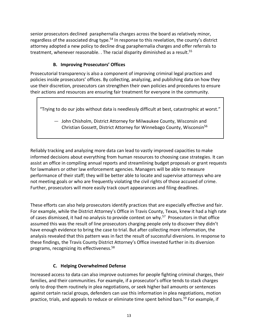senior prosecutors declined paraphernalia charges across the board as relatively minor, regardless of the associated drug type.<sup>54</sup> In response to this revelation, the county's district attorney adopted a new policy to decline drug paraphernalia charges and offer referrals to treatment, whenever reasonable. . The racial disparity diminished as a result. 55

# **B. Improving Prosecutors' Offices**

Prosecutorial transparency is also a component of improving criminal legal practices and policies inside prosecutors' offices. By collecting, analyzing, and publishing data on how they use their discretion, prosecutors can strengthen their own policies and procedures to ensure their actions and resources are ensuring fair treatment for everyone in the community.

"Trying to do our jobs without data is needlessly difficult at best, catastrophic at worst."

— John Chisholm, District Attorney for Milwaukee County, Wisconsin and Christian Gossett, District Attorney for Winnebago County, Wisconsin56

Reliably tracking and analyzing more data can lead to vastly improved capacities to make informed decisions about everything from human resources to choosing case strategies. It can assist an office in compiling annual reports and streamlining budget proposals or grant requests for lawmakers or other law enforcement agencies. Managers will be able to measure performance of their staff; they will be better able to locate and supervise attorneys who are not meeting goals or who are frequently violating the civil rights of those accused of crime. Further, prosecutors will more easily track court appearances and filing deadlines.

These efforts can also help prosecutors identify practices that are especially effective and fair. For example, while the District Attorney's Office in Travis County, Texas, knew it had a high rate of cases dismissed, it had no analysis to provide context on why.<sup>57</sup> Prosecutors in that office assumed this was the result of line prosecutors charging people only to discover they didn't have enough evidence to bring the case to trial. But after collecting more information, the analysis revealed that this pattern was in fact the result of successful diversions. In response to these findings, the Travis County District Attorney's Office invested further in its diversion programs, recognizing its effectiveness. 58

## **C. Helping Overwhelmed Defense**

Increased access to data can also improve outcomes for people fighting criminal charges, their families, and their communities. For example, if a prosecutor's office tends to stack charges only to drop them routinely in plea negotiations, or seek higher bail amounts or sentences against certain racial groups, defenders can use this information in plea negotiations, motion practice, trials, and appeals to reduce or eliminate time spent behind bars.<sup>59</sup> For example, if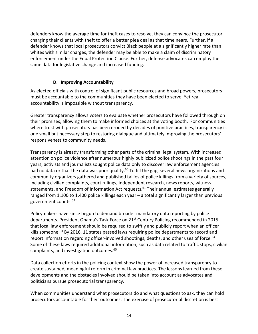defenders know the average time for theft cases to resolve, they can convince the prosecutor charging their clients with theft to offer a better plea deal as that time nears. Further, if a defender knows that local prosecutors convict Black people at a significantly higher rate than whites with similar charges, the defender may be able to make a claim of discriminatory enforcement under the Equal Protection Clause. Further, defense advocates can employ the same data for legislative change and increased funding.

## **D. Improving Accountability**

As elected officials with control of significant public resources and broad powers, prosecutors must be accountable to the communities they have been elected to serve. Yet real accountability is impossible without transparency.

Greater transparency allows voters to evaluate whether prosecutors have followed through on their promises, allowing them to make informed choices at the voting booth. For communities where trust with prosecutors has been eroded by decades of punitive practices, transparency is one small but necessary step to restoring dialogue and ultimately improving the prosecutors' responsiveness to community needs.

Transparency is already transforming other parts of the criminal legal system. With increased attention on police violence after numerous highly publicized police shootings in the past four years, activists and journalists sought police data only to discover law enforcement agencies had no data or that the data was poor quality.<sup>60</sup> To fill the gap, several news organizations and community organizers gathered and published tallies of police killings from a variety of sources, including civilian complaints, court rulings, independent research, news reports, witness statements, and Freedom of Information Act requests.<sup>61</sup> Their annual estimates generally ranged from 1,100 to 1,400 police killings each year – a total significantly larger than previous government counts.62

Policymakers have since begun to demand broader mandatory data reporting by police departments. President Obama's Task Force on 21st Century Policing recommended in 2015 that local law enforcement should be required to swiftly and publicly report when an officer kills someone.<sup>63</sup> By 2016, 11 states passed laws requiring police departments to record and report information regarding officer-involved shootings, deaths, and other uses of force.<sup>64</sup> Some of these laws required additional information, such as data related to traffic stops, civilian complaints, and investigation outcomes.65

Data collection efforts in the policing context show the power of increased transparency to create sustained, meaningful reform in criminal law practices. The lessons learned from these developments and the obstacles involved should be taken into account as advocates and politicians pursue prosecutorial transparency.

When communities understand what prosecutors do and what questions to ask, they can hold prosecutors accountable for their outcomes. The exercise of prosecutorial discretion is best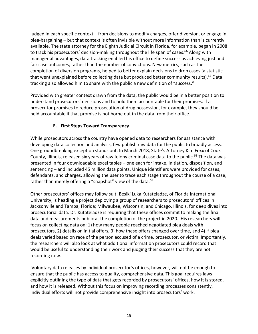judged in each specific context – from decisions to modify charges, offer diversion, or engage in plea-bargaining – but that context is often invisible without more information than is currently available. The state attorney for the Eighth Judicial Circuit in Florida, for example, began in 2008 to track his prosecutors' decision-making throughout the life span of cases.<sup>66</sup> Along with managerial advantages, data tracking enabled his office to define success as achieving just and fair case outcomes, rather than the number of convictions. New metrics, such as the completion of diversion programs, helped to better explain decisions to drop cases (a statistic that went unexplained before collecting data but produced better community results).<sup>67</sup> Data tracking also allowed him to share with the public a new definition of "success."

Provided with greater context drawn from the data, the public would be in a better position to understand prosecutors' decisions and to hold them accountable for their promises. If a prosecutor promises to reduce prosecution of drug possession, for example, they should be held accountable if that promise is not borne out in the data from their office.

## **E. First Steps Toward Transparency**

While prosecutors across the country have opened data to researchers for assistance with developing data collection and analysis, few publish raw data for the public to broadly access. One groundbreaking exception stands out. In March 2018, State's Attorney Kim Foxx of Cook County, Illinois, released six years of raw felony criminal case data to the public.<sup>68</sup> The data was presented in four downloadable excel tables – one each for intake, initiation, disposition, and sentencing – and included 45 million data points. Unique identifiers were provided for cases, defendants, and charges, allowing the user to trace each stage throughout the course of a case, rather than merely offering a "snapshot" view of the data.<sup>69</sup>

Other prosecutors' offices may follow suit. Besiki Luka Kutateladze, of Florida International University, is heading a project deploying a group of researchers to prosecutors' offices in Jacksonville and Tampa, Florida; Milwaukee, Wisconsin; and Chicago, Illinois, for deep dives into prosecutorial data. Dr. Kutateladze is requiring that these offices commit to making the final data and measurements public at the completion of the project in 2020. His researchers will focus on collecting data on: 1) how many people reached negotiated plea deals with prosecutors, 2) details on initial offers, 3) how these offers changed over time, and 4) if plea deals varied based on race of the person accused of a crime, prosecutor, or victim. Importantly, the researchers will also look at what additional information prosecutors could record that would be useful to understanding their work and judging their success that they are not recording now.

Voluntary data releases by individual prosecutor's offices, however, will not be enough to ensure that the public has access to quality, comprehensive data. This goal requires laws explicitly outlining the type of data that gets recorded by prosecutors' offices, how it is stored, and how it is released. Without this focus on improving recording processes consistently, individual efforts will not provide comprehensive insight into prosecutors' work.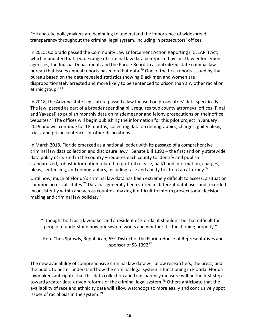Fortunately, policymakers are beginning to understand the importance of widespread transparency throughout the criminal legal system, including in prosecutors' offices.

In 2015, Colorado passed the Community Law Enforcement Action Reporting ("CLEAR") Act, which mandated that a wide range of criminal law data be reported by local law enforcement agencies, the Judicial Department, and the Parole Board to a centralized state criminal law bureau that issues annual reports based on that data.<sup>70</sup> One of the first reports issued by that bureau based on the data revealed statistics showing Black men and women are disproportionately arrested and more likely to be sentenced to prison than any other racial or ethnic group."71

In 2018, the Arizona state Legislature passed a law focused on prosecutors' data specifically. The law, passed as part of a broader spending bill, requires two county attorneys' offices (Pinal and Yavapai) to publish monthly data on misdemeanor and felony prosecutions on their office websites.<sup>72</sup> The offices will begin publishing the information for this pilot project in January 2019 and will continue for 18 months, collecting data on demographics, charges, guilty pleas, trials, and prison sentences or other dispositions.

In March 2018, Florida emerged as a national leader with its passage of a comprehensive criminal law data collection and disclosure law.<sup>73</sup> Senate Bill 1392 – the first and only statewide data policy of its kind in the country – requires each county to identify and publish standardized, robust information related to pretrial release, bail/bond information, charges, pleas, sentencing, and demographics, including race and ability to afford an attorney.<sup>74</sup>

Until now, much of Florida's criminal law data has been extremely difficult to access, a situation common across all states.75 Data has generally been stored in different databases and recorded inconsistently within and across counties, making it difficult to inform prosecutorial decisionmaking and criminal law policies.<sup>76</sup>

"I thought both as a lawmaker and a resident of Florida, it shouldn't be that difficult for people to understand how our system works and whether it's functioning properly."

 $-$  Rep. Chris Sprowls, Republican, 65<sup>th</sup> District of the Florida House of Representatives and sponsor of SB 139277

The new availability of comprehensive criminal law data will allow researchers, the press, and the public to better understand how the criminal legal system is functioning in Florida. Florida lawmakers anticipate that this data collection and transparency measure will be the first step toward greater data-driven reforms of the criminal legal system.<sup>78</sup> Others anticipate that the availability of race and ethnicity data will allow watchdogs to more easily and conclusively spot issues of racial bias in the system.79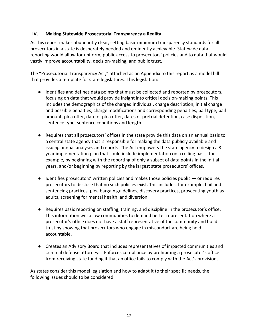#### **IV. Making Statewide Prosecutorial Transparency a Reality**

As this report makes abundantly clear, setting basic minimum transparency standards for all prosecutors in a state is desperately needed and eminently achievable. Statewide data reporting would allow for uniform, public access to prosecutors' policies and to data that would vastly improve accountability, decision-making, and public trust.

The "Prosecutorial Transparency Act," attached as an Appendix to this report, is a model bill that provides a template for state legislatures. This legislation:

- Identifies and defines data points that must be collected and reported by prosecutors, focusing on data that would provide insight into critical decision-making points. This includes the demographics of the charged individual, charge description, initial charge and possible penalties, charge modifications and corresponding penalties, bail type, bail amount, plea offer, date of plea offer, dates of pretrial detention, case disposition, sentence type, sentence conditions and length.
- Requires that all prosecutors' offices in the state provide this data on an annual basis to a central state agency that is responsible for making the data publicly available and issuing annual analyses and reports. The Act empowers the state agency to design a 3 year implementation plan that could include implementation on a rolling basis, for example, by beginning with the reporting of only a subset of data points in the initial years, and/or beginning by reporting by the largest state prosecutors' offices.
- $\bullet$  Identifies prosecutors' written policies and makes those policies public  $-$  or requires prosecutors to disclose that no such policies exist. This includes, for example, bail and sentencing practices, plea bargain guidelines, discovery practices, prosecuting youth as adults, screening for mental health, and diversion.
- Requires basic reporting on staffing, training, and discipline in the prosecutor's office. This information will allow communities to demand better representation where a prosecutor's office does not have a staff representative of the community and build trust by showing that prosecutors who engage in misconduct are being held accountable.
- Creates an Advisory Board that includes representatives of impacted communities and criminal defense attorneys. Enforces compliance by prohibiting a prosecutor's office from receiving state funding if that an office fails to comply with the Act's provisions.

As states consider this model legislation and how to adapt it to their specific needs, the following issues should to be considered: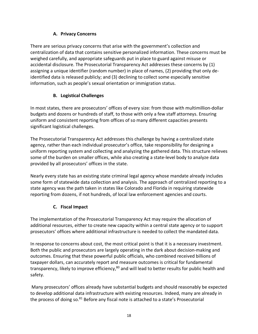# **A. Privacy Concerns**

There are serious privacy concerns that arise with the government's collection and centralization of data that contains sensitive personalized information. These concerns must be weighed carefully, and appropriate safeguards put in place to guard against misuse or accidental disclosure. The Prosecutorial Transparency Act addresses these concerns by (1) assigning a unique identifier (random number) in place of names, (2) providing that only deidentified data is released publicly; and (3) declining to collect some especially sensitive information, such as people's sexual orientation or immigration status.

# **B. Logistical Challenges**

In most states, there are prosecutors' offices of every size: from those with multimillion-dollar budgets and dozens or hundreds of staff, to those with only a few staff attorneys. Ensuring uniform and consistent reporting from offices of so many different capacities presents significant logistical challenges.

The Prosecutorial Transparency Act addresses this challenge by having a centralized state agency, rather than each individual prosecutor's office, take responsibility for designing a uniform reporting system and collecting and analyzing the gathered data. This structure relieves some of the burden on smaller offices, while also creating a state-level body to analyze data provided by all prosecutors' offices in the state.

Nearly every state has an existing state criminal legal agency whose mandate already includes some form of statewide data collection and analysis. The approach of centralized reporting to a state agency was the path taken in states like Colorado and Florida in requiring statewide reporting from dozens, if not hundreds, of local law enforcement agencies and courts.

# **C. Fiscal Impact**

The implementation of the Prosecutorial Transparency Act may require the allocation of additional resources, either to create new capacity within a central state agency or to support prosecutors' offices where additional infrastructure is needed to collect the mandated data.

In response to concerns about cost, the most critical point is that it is a necessary investment. Both the public and prosecutors are largely operating in the dark about decision-making and outcomes. Ensuring that these powerful public officials, who combined received billions of taxpayer dollars, can accurately report and measure outcomes is critical for fundamental transparency, likely to improve efficiency,<sup>80</sup> and will lead to better results for public health and safety.

Many prosecutors' offices already have substantial budgets and should reasonably be expected to develop additional data infrastructure with existing resources. Indeed, many are already in the process of doing so.<sup>81</sup> Before any fiscal note is attached to a state's Prosecutorial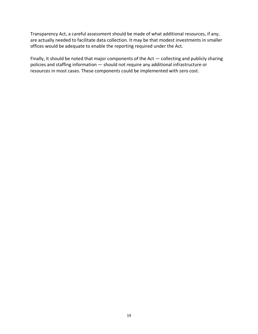Transparency Act, a careful assessment should be made of what additional resources, if any, are actually needed to facilitate data collection. It may be that modest investments in smaller offices would be adequate to enable the reporting required under the Act.

Finally, it should be noted that major components of the Act — collecting and publicly sharing policies and staffing information — should not require any additional infrastructure or resources in most cases. These components could be implemented with zero cost.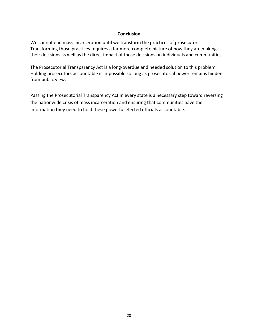#### **Conclusion**

We cannot end mass incarceration until we transform the practices of prosecutors. Transforming those practices requires a far more complete picture of how they are making their decisions as well as the direct impact of those decisions on individuals and communities.

The Prosecutorial Transparency Act is a long-overdue and needed solution to this problem. Holding prosecutors accountable is impossible so long as prosecutorial power remains hidden from public view.

Passing the Prosecutorial Transparency Act in every state is a necessary step toward reversing the nationwide crisis of mass incarceration and ensuring that communities have the information they need to hold these powerful elected officials accountable.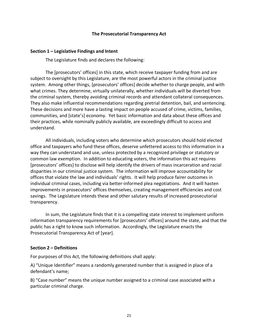#### **The Prosecutorial Transparency Act**

#### **Section 1 – Legislative Findings and Intent**

The Legislature finds and declares the following:

The [prosecutors' offices] in this state, which receive taxpayer funding from and are subject to oversight by this Legislature, are the most powerful actors in the criminal justice system. Among other things, [prosecutors' offices] decide whether to charge people, and with what crimes. They determine, virtually unilaterally, whether individuals will be diverted from the criminal system, thereby avoiding criminal records and attendant collateral consequences. They also make influential recommendations regarding pretrial detention, bail, and sentencing. These decisions and more have a lasting impact on people accused of crime, victims, families, communities, and [state's] economy. Yet basic information and data about these offices and their practices, while nominally publicly available, are exceedingly difficult to access and understand.

All individuals, including voters who determine which prosecutors should hold elected office and taxpayers who fund these offices, deserve unfettered access to this information in a way they can understand and use, unless protected by a recognized privilege or statutory or common law exemption. In addition to educating voters, the information this act requires [prosecutors' offices] to disclose will help identify the drivers of mass incarceration and racial disparities in our criminal justice system. The information will improve accountability for offices that violate the law and individuals' rights. It will help produce fairer outcomes in individual criminal cases, including via better-informed plea negotiations. And it will hasten improvements in prosecutors' offices themselves, creating management efficiencies and cost savings. The Legislature intends these and other salutary results of increased prosecutorial transparency.

In sum, the Legislature finds that it is a compelling state interest to implement uniform information transparency requirements for [prosecutors' offices] around the state, and that the public has a right to know such information. Accordingly, the Legislature enacts the Prosecutorial Transparency Act of [year].

#### **Section 2 – Definitions**

For purposes of this Act, the following definitions shall apply:

A) "Unique Identifier" means a randomly generated number that is assigned in place of a defendant's name;

B) "Case number" means the unique number assigned to a criminal case associated with a particular criminal charge.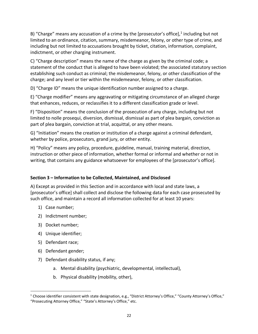B) "Charge" means any accusation of a crime by the [prosecutor's office], $1$  including but not limited to an ordinance, citation, summary, misdemeanor, felony, or other type of crime, and including but not limited to accusations brought by ticket, citation, information, complaint, indictment, or other charging instrument.

C) "Charge description" means the name of the charge as given by the criminal code; a statement of the conduct that is alleged to have been violated; the associated statutory section establishing such conduct as criminal; the misdemeanor, felony, or other classification of the charge; and any level or tier within the misdemeanor, felony, or other classification.

D) "Charge ID" means the unique identification number assigned to a charge.

E) "Charge modifier" means any aggravating or mitigating circumstance of an alleged charge that enhances, reduces, or reclassifies it to a different classification grade or level.

F) "Disposition" means the conclusion of the prosecution of any charge, including but not limited to nolle prosequi, diversion, dismissal, dismissal as part of plea bargain, conviction as part of plea bargain, conviction at trial, acquittal, or any other means.

G) "Initiation" means the creation or institution of a charge against a criminal defendant, whether by police, prosecutors, grand jury, or other entity.

H) "Policy" means any policy, procedure, guideline, manual, training material, direction, instruction or other piece of information, whether formal or informal and whether or not in writing, that contains any guidance whatsoever for employees of the [prosecutor's office].

## **Section 3 – Information to be Collected, Maintained, and Disclosed**

A) Except as provided in this Section and in accordance with local and state laws, a [prosecutor's office] shall collect and disclose the following data for each case prosecuted by such office, and maintain a record all information collected for at least 10 years:

- 1) Case number;
- 2) Indictment number;
- 3) Docket number;
- 4) Unique identifier;
- 5) Defendant race;
- 6) Defendant gender;
- 7) Defendant disability status, if any;
	- a. Mental disability (psychiatric, developmental, intellectual),
	- b. Physical disability (mobility, other),

<sup>&</sup>lt;sup>1</sup> Choose identifier consistent with state designation, e.g., "District Attorney's Office," "County Attorney's Office," "Prosecuting Attorney Office," "State's Attorney's Office," etc.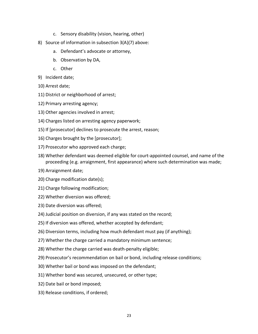- c. Sensory disability (vision, hearing, other)
- 8) Source of information in subsection 3(A)(7) above:
	- a. Defendant's advocate or attorney,
	- b. Observation by DA,
	- c. Other
- 9) Incident date;
- 10) Arrest date;
- 11) District or neighborhood of arrest;
- 12) Primary arresting agency;
- 13) Other agencies involved in arrest;
- 14) Charges listed on arresting agency paperwork;
- 15) If [prosecutor] declines to prosecute the arrest, reason;
- 16) Charges brought by the [prosecutor];
- 17) Prosecutor who approved each charge;
- 18) Whether defendant was deemed eligible for court-appointed counsel, and name of the proceeding (e.g. arraignment, first appearance) where such determination was made;
- 19) Arraignment date;
- 20) Charge modification date(s);
- 21) Charge following modification;
- 22) Whether diversion was offered;
- 23) Date diversion was offered;
- 24) Judicial position on diversion, if any was stated on the record;
- 25) If diversion was offered, whether accepted by defendant;
- 26) Diversion terms, including how much defendant must pay (if anything);
- 27) Whether the charge carried a mandatory minimum sentence;
- 28) Whether the charge carried was death-penalty eligible;
- 29) Prosecutor's recommendation on bail or bond, including release conditions;
- 30) Whether bail or bond was imposed on the defendant;
- 31) Whether bond was secured, unsecured, or other type;
- 32) Date bail or bond imposed;
- 33) Release conditions, if ordered;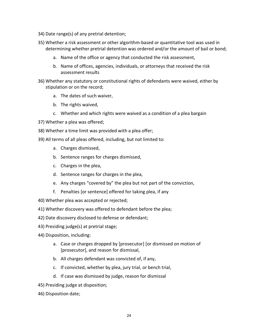- 34) Date range(s) of any pretrial detention;
- 35) Whether a risk assessment or other algorithm-based or quantitative tool was used in determining whether pretrial detention was ordered and/or the amount of bail or bond;
	- a. Name of the office or agency that conducted the risk assessment,
	- b. Name of offices, agencies, individuals, or attorneys that received the risk assessment results
- 36) Whether any statutory or constitutional rights of defendants were waived, either by stipulation or on the record;
	- a. The dates of such waiver,
	- b. The rights waived,
	- c. Whether and which rights were waived as a condition of a plea bargain
- 37) Whether a plea was offered;
- 38) Whether a time limit was provided with a plea offer;
- 39) All terms of all pleas offered, including, but not limited to:
	- a. Charges dismissed,
	- b. Sentence ranges for charges dismissed,
	- c. Charges in the plea,
	- d. Sentence ranges for charges in the plea,
	- e. Any charges "covered by" the plea but not part of the conviction,
	- f. Penalties [or sentence] offered for taking plea, if any
- 40) Whether plea was accepted or rejected;
- 41) Whether discovery was offered to defendant before the plea;
- 42) Date discovery disclosed to defense or defendant;
- 43) Presiding judge(s) at pretrial stage;
- 44) Disposition, including:
	- a. Case or charges dropped by [prosecutor] [or dismissed on motion of [prosecutor], and reason for dismissal,
	- b. All charges defendant was convicted of, if any,
	- c. If convicted, whether by plea, jury trial, or bench trial,
	- d. If case was dismissed by judge, reason for dismissal
- 45) Presiding judge at disposition;
- 46) Disposition date;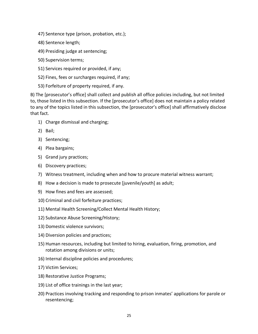- 47) Sentence type (prison, probation, etc.);
- 48) Sentence length;
- 49) Presiding judge at sentencing;
- 50) Supervision terms;
- 51) Services required or provided, if any;
- 52) Fines, fees or surcharges required, if any;
- 53) Forfeiture of property required, if any.

B) The [prosecutor's office] shall collect and publish all office policies including, but not limited to, those listed in this subsection. If the [prosecutor's office] does not maintain a policy related to any of the topics listed in this subsection, the [prosecutor's office] shall affirmatively disclose that fact.

- 1) Charge dismissal and charging;
- 2) Bail;
- 3) Sentencing;
- 4) Plea bargains;
- 5) Grand jury practices;
- 6) Discovery practices;
- 7) Witness treatment, including when and how to procure material witness warrant;
- 8) How a decision is made to prosecute [juvenile/youth] as adult;
- 9) How fines and fees are assessed;
- 10) Criminal and civil forfeiture practices;
- 11) Mental Health Screening/Collect Mental Health History;
- 12) Substance Abuse Screening/History;
- 13) Domestic violence survivors;
- 14) Diversion policies and practices;
- 15) Human resources, including but limited to hiring, evaluation, firing, promotion, and rotation among divisions or units;
- 16) Internal discipline policies and procedures;
- 17) Victim Services;
- 18) Restorative Justice Programs;
- 19) List of office trainings in the last year;
- 20) Practices involving tracking and responding to prison inmates' applications for parole or resentencing;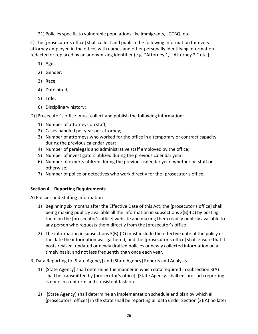21) Policies specific to vulnerable populations like immigrants, LGTBQ, etc.

C) The [prosecutor's office] shall collect and publish the following information for every attorney employed in the office, with names and other personally identifying information redacted or replaced by an anonymizing identifier (e.g. "Attorney 1,""Attorney 2," etc.):

- 1) Age;
- 2) Gender;
- 3) Race;
- 4) Date hired;
- 5) Title;
- 6) Disciplinary history;

D) [Prosecutor's office] must collect and publish the following information:

- 1) Number of attorneys on staff;
- 2) Cases handled per year per attorney;
- 3) Number of attorneys who worked for the office in a temporary or contract capacity during the previous calendar year;
- 4) Number of paralegals and administrative staff employed by the office;
- 5) Number of investigators utilized during the previous calendar year;
- 6) Number of experts utilized during the previous calendar year, whether on staff or otherwise;
- 7) Number of police or detectives who work directly for the [prosecutor's office]

#### **Section 4 – Reporting Requirements**

A) Policies and Staffing Information

- 1) Beginning six months after the Effective Date of this Act, the [prosecutor's office] shall being making publicly available all the information in subsections 3(B)-(D) by posting them on the [prosecutor's office] website and making them readily publicly available to any person who requests them directly from the [prosecutor's office].
- 2) The information in subsections  $3(B)$ -(D) must include the effective date of the policy or the date the information was gathered, and the [prosecutor's office] shall ensure that it posts revised, updated or newly drafted policies or newly collected information on a timely basis, and not less frequently than once each year.

## B) Data Reporting to [State Agency] and [State Agency] Reports and Analysis

- 1) [State Agency] shall determine the manner in which data required in subsection 3(A) shall be transmitted by [prosecutor's office]. [State Agency] shall ensure such reporting is done in a uniform and consistent fashion.
- 2) [State Agency] shall determine an implementation schedule and plan by which all [prosecutors' offices] in the state shall be reporting all data under Section (3)(A) no later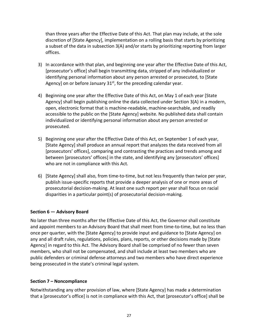than three years after the Effective Date of this Act. That plan may include, at the sole discretion of [State Agency], implementation on a rolling basis that starts by prioritizing a subset of the data in subsection 3(A) and/or starts by prioritizing reporting from larger offices.

- 3) In accordance with that plan, and beginning one year after the Effective Date of this Act, [prosecutor's office] shall begin transmitting data, stripped of any individualized or identifying personal information about any person arrested or prosecuted, to [State Agency] on or before January  $31<sup>st</sup>$ , for the preceding calendar year.
- 4) Beginning one year after the Effective Date of this Act, on May 1 of each year [State Agency] shall begin publishing online the data collected under Section 3(A) in a modern, open, electronic format that is machine-readable, machine-searchable, and readily accessible to the public on the [State Agency] website. No published data shall contain individualized or identifying personal information about any person arrested or prosecuted.
- 5) Beginning one year after the Effective Date of this Act, on September 1 of each year, [State Agency] shall produce an annual report that analyzes the data received from all [prosecutors' offices], comparing and contrasting the practices and trends among and between [prosecutors' offices] in the state, and identifying any [prosecutors' offices] who are not in compliance with this Act.
- 6) [State Agency] shall also, from time-to-time, but not less frequently than twice per year, publish issue-specific reports that provide a deeper analysis of one or more areas of prosecutorial decision-making. At least one such report per year shall focus on racial disparities in a particular point(s) of prosecutorial decision-making.

#### **Section 6 — Advisory Board**

No later than three months after the Effective Date of this Act, the Governor shall constitute and appoint members to an Advisory Board that shall meet from time-to-time, but no less than once per quarter, with the [State Agency] to provide input and guidance to [State Agency] on any and all draft rules, regulations, policies, plans, reports, or other decisions made by [State Agency] in regard to this Act. The Advisory Board shall be comprised of no fewer than seven members, who shall not be compensated, and shall include at least two members who are public defenders or criminal defense attorneys and two members who have direct experience being prosecuted in the state's criminal legal system.

#### **Section 7 – Noncompliance**

Notwithstanding any other provision of law, where [State Agency] has made a determination that a [prosecutor's office] is not in compliance with this Act, that [prosecutor's office] shall be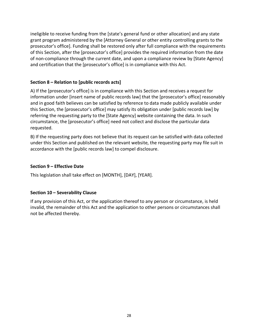ineligible to receive funding from the [state's general fund or other allocation] and any state grant program administered by the [Attorney General or other entity controlling grants to the prosecutor's office]. Funding shall be restored only after full compliance with the requirements of this Section, after the [prosecutor's office] provides the required information from the date of non-compliance through the current date, and upon a compliance review by [State Agency] and certification that the [prosecutor's office] is in compliance with this Act.

#### **Section 8 – Relation to [public records acts]**

A) If the [prosecutor's office] is in compliance with this Section and receives a request for information under [insert name of public records law] that the [prosecutor's office] reasonably and in good faith believes can be satisfied by reference to data made publicly available under this Section, the [prosecutor's office] may satisfy its obligation under [public records law] by referring the requesting party to the [State Agency] website containing the data. In such circumstance, the [prosecutor's office] need not collect and disclose the particular data requested.

B) If the requesting party does not believe that its request can be satisfied with data collected under this Section and published on the relevant website, the requesting party may file suit in accordance with the [public records law] to compel disclosure.

## **Section 9 – Effective Date**

This legislation shall take effect on [MONTH], [DAY], [YEAR].

## **Section 10 – Severability Clause**

If any provision of this Act, or the application thereof to any person or circumstance, is held invalid, the remainder of this Act and the application to other persons or circumstances shall not be affected thereby.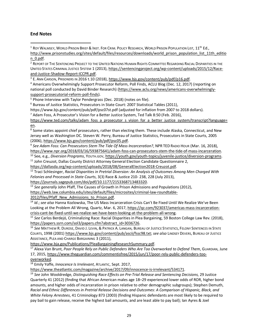#### **End Notes**

 $\overline{a}$ 

- <sup>1</sup> ROY WALMSEY, WORLD PRISON BRIEF & INST. FOR CRIM. POLICY RESEARCH, WORLD PRISON POPULATION LIST, 11<sup>th</sup> Ed., http://www.prisonstudies.org/sites/default/files/resources/downloads/world\_prison\_population\_list\_11th\_editio
- n\_0.pdf. 2 **Part of The Sentencing Project to the United Nations Human Rights Committee Regarding Racial Disparities in the** UNITED STATES CRIMINAL JUSTICE SYSTEM 1 (2013), https://sentencingproject.org/wp-content/uploads/2015/12/Race-
- 

and-Justice-Shadow-Report-ICCPR.pdf.<br><sup>3</sup> E. Ann Carson, Prisoners in 2016 t.10 (2018), https://www.bjs.gov/content/pub/pdf/p16.pdf.<br><sup>4</sup> Americans Overwhelmingly Support Prosecutor Reform, Poll Finds, ACLU Blog (Dec. 12, 20 national poll conducted by David Binder Research) (https://www.aclu.org/news/americans-overwhelmingly-

support-prosecutorial-reform-poll-finds).<br><sup>5</sup> Phone Interview with Taylor Pendergrass (Dec. 2018) (notes on file).<br><sup>6</sup> Bureau of Justice Statistics, Prosecutors in State Court: 2007 Statistical Tables (2011),

https://www.bjs.gov/content/pub/pdf/psc07st.pdf (adjusted for inflation from 2007 to 2018 dollars).

 $7$  Adam Foss, A Prosecutor's Vision for a Better Justice System, Ted Talk 8:50 (Feb. 2016),

https://www.ted.com/talks/adam\_foss\_a\_prosecutor\_s\_vision\_for\_a\_better\_justice\_system/transcript?language= en.<br><sup>8</sup> Some states appoint chief prosecutors, rather than electing them. These include Alaska, Connecticut, and New

Jersey well as Washington DC. Steven W. Perry, Bureau of Justice Statistics, Prosecutors in State Courts, 2005 (2006), https://www.bjs.gov/content/pub/pdf/psc05.pdf. 9 *See Adam Foss: Can Prosecutors Stem The Tide Of Mass Incarceration?*, NPR TED RADIO HOUR (Mar. 16, 2018),

https://www.npr.org/2018/03/16/593875641/adam-foss-can-prosecutors-stem-the-tide-of-mass-incarceration.<br><sup>10</sup> See, e.g., *Diversion Programs*, YouTH.GOV, https://youth.gov/youth-topics/juvenile-justice/diversion-programs.<br><sup></sup>

https://dallasda.org/wp-content/uploads/2018/08/GeneralElection2018-Creuzot.pdf.<br><sup>12</sup> Traci Schlesinger, *Racial Disparities in Pretrial Diversion: An Analysis of Outcomes Among Men Charged With Felonies and Processed in State Courts*, 3(3) Race & Justice 210- 238, 228 (July 2013),

https://journals.sagepub.com/doi/pdf/10.1177/2153368713483320.<br><sup>13</sup> See generally John Pfaff, The Causes of Growth in Prison Admissions and Populations (2012),

https://web.law.columbia.edu/sites/default/files/microsites/criminal-law-roundtable-

2012/files/Pfaff\_New\_Admissions\_to\_Prison.pdf. 14 *Id*. 15 *Inalies/Pfaff New Admissions Admissions* to Prison. 14 *Id.*; *see also* Hanna Kozlowska, The US Mass Incarceration Crisis Can't Be Fixed Until We Realize We've B Looking at the Problem All Wrong, Quartz, Mar. 6, 2017, https://qz.com/923037/americas-mass-incarcerationcrisis-cant-be-fixed-until-we-realize-we-have-been-looking-at-the-problem-all-wrong. 15 *See* Carlos Berdejó, Criminalizing Race: Racial Disparities in Plea Bargaining, 59 Boston College Law Rev. (2018),

https://papers.ssrn.com/sol3/papers.cfm?abstract\_id=3036726.<br><sup>16</sup> See MATTHEW R. DUROSE, DAVID J. LEVIN, & PATRICK A. LANGAN, BUREAU OF JUSTICE STATISTICS, FELONY SENTENCES IN STATE

COURTS, 1998 (2001) https://www.bjs.gov/content/pub/ascii/fssc98.txt; *see also* LINDSEY DEVERS, BUREAU OF JUSTICE ASSISTANCE, PLEA AND CHARGE BARGAINING 3 (2011),

https://www.bja.gov/Publications/PleaBargainingResearchSummary.pdf.<br><sup>17</sup> Alexa Van Brunt, *Poor People Rely on Public Defenders Who Are Too Overworked to Defend Them*, Guarpuan, June 17, 2015, https://www.theguardian.com/commentisfree/2015/jun/17/poor-rely-public-defenders-too-

**overworked.**<br><sup>18</sup> Emily Yoffe, *Innocence Is Irrelevant*, ATLANTIC, Sept. 2017,<br>https://www.theatlantic.com/magazine/archive/2017/09/innocence-is-irrelevant/534171.

<sup>19</sup> See John Wooldredge, Distinguishing Race Effects on Pre-Trial Release and Sentencing Decisions, 29 Justice Quarterly 41 (2012) (finding that African American males age 18–29 experienced lower odds of ROR, higher bond amounts, and higher odds of incarceration in prison relative to other demographic subgroups); Stephen Demuth, *Racial and Ethnic Differences in Pretrial Release Decisions and Outcomes: A Comparison of Hispanic, Black, and White Felony Arrestees*, 41 Criminology 873 (2003) (finding Hispanic defendants are most likely to be required to pay bail to gain release, receive the highest bail amounts, and are least able to pay bail); Ian Ayres & Joel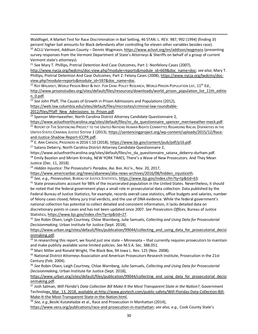Waldfogel, A Market Test for Race Discrimination in Bail Setting, 46 STAN. L. REV. 987, 992 (1994) (finding 35 percent higher bail amounts for Black defendants after controlling for eleven other variables besides race).

<sup>20</sup> ACLU Vermont, Addison County – Dennis Wygmasn, https://www.acluvt.org/en/addison/wygmans (presenting survey responses from the Vermont Department of State's Attorneys & Sheriffs on behalf of a group of current Vermont state's attorneys).

<sup>21</sup> See Mary T. Phillips, Pretrial Detention And Case Outcomes, Part 1: Nonfelony Cases (2007),

http://www.nycja.org/lwdcms/doc-view.php?module=reports&module\_id=669&doc\_name=doc; *see also*, Mary T. Phillips, Pretrial Detention And Case Outcomes, Part 2: Felony Cases (2008), https://www.nycja.org/lwdcms/docview.php?module=reports&module\_id=597&doc\_name=doc.<br><sup>22</sup> ROY WALMSEY, WORLD PRISON BRIEF & INST. FOR CRIM. POLICY RESEARCH, WORLD PRISON POPULATION LIST, 11<sup>th</sup> Ed.,

http://www.prisonstudies.org/sites/default/files/resources/downloads/world\_prison\_population\_list\_11th\_editio

n\_0.pdf. 23 *See John Pfaff, The Causes of Growth in Prison Admissions and Populations (2012),* 

https://web.law.columbia.edu/sites/default/files/microsites/criminal-law-roundtable-

2012/files/Pfaff\_New\_Admissions\_to\_Prison.pdf.

 $\overline{a}$ 

<sup>24</sup> Spencer Merriweather, North Carolina District Attorney Candidate Questionnaire 2,

https://www.acluofnorthcarolina.org/sites/default/files/nc\_da\_questionnaire\_spencer\_merriweather-meck.pdf. <sup>25</sup> Report of The Sentencing Project to the United Nations Human Rights Committee Regarding Racial Disparities in UNITED STATES CRIMINAL JUSTICE SYSTEM 1 (2013), https://sentencingproject.org/wp-content/uploads/2015/12/Race-

and-Justice-Shadow-Report-ICCPR.pdf.<br><sup>26</sup> E. Ann Carson, Prisoners in 2016 t.10 (2018), https://www.bjs.gov/content/pub/pdf/p16.pdf.<br><sup>27</sup> Satana Deberry, North Carolina District Attorney Candidate Questionnaire 2,

https://www.acluofnorthcarolina.org/sites/default/files/nc\_da\_questionnaire\_satana\_deberry-durham.pdf. <sup>28</sup> Emily Bazelon and Miriam Krinsky, NEW YORK TIMES, There's a Wave of New Prosecutors. And They Mean Justice (Dec. 11, 2018).

<sup>29</sup> *Hidden Injustice: The Prosecutor's Paradox*, AM. BAR. ASS'N., Nov. 20, 2017,

https://www.americanbar.org/news/abanews/aba-news-archives/2016/08/hidden\_injusticeth.<br><sup>30</sup> See, e.g., Prosecution, Bureau or Justice Statistics, https://www.bjs.gov/index.cfm?ty=tp&tid=63.<br><sup>31</sup> State prosecutions account be noted that the federal government plays a small role in prosecutorial data collection. Data published by the Federal Bureau of Justice Statistics, for example, records overall case statistics, office budgets and salaries, number of felony cases closed, felony jury trial verdicts, and the use of DNA evidence. While the federal government's national collection has potential to collect detailed and consistent information, it lacks detailed data on discretionary points in cases and has not been updated since 2007. *See Prosecutors Offices*, Bureau of Justice Statistics, https://www.bjs.gov/index.cfm?ty=tp&tid=27.<br><sup>32</sup> See Robin Olsen, Leigh Courtney, Chloe Warnberg, Julie Samuels, *Collecting and Using Data for Prosecutorial* 

*Decisionmaking*, Urban Institute for Justice (Sept. 2018),

https://www.urban.org/sites/default/files/publication/99044/collecting and using data for prosecutorial decisi onmaking.pdf.

 $33$  In researching this report, we found just one state – Minnesota – that currently requires prosecutors to maintain and make publicly available some limited policies. *See* M.S.A. Sec. 388.051.

<sup>35</sup> National District Attorneys Association and American Prosecutors Research Institute, Prosecution in the 21st Century (Feb. 2004).

<sup>36</sup> *See* Robin Olsen, Leigh Courtney, Chloe Warnberg, Julie Samuels, *Collecting and Using Data for Prosecutorial Decisionmaking*, Urban Institute for Justice (Sept. 2018),

https://www.urban.org/sites/default/files/publication/99044/collecting and using data for prosecutorial decisi onmaking.pdf.

<sup>37</sup> Josh Salman, *Will Florida's Data Collection Bill Make It the Most Transparent State in the Nation?*, Government Technology, Mar. 13, 2018, available at:http://www.govtech.com/public-safety/Will-Floridas-Data-Collection-Bill-Make-It-the-Most-Transparent-State-in-the-Nation.html.

<sup>38</sup> *See, e.g.,*Besiki Kutateladze et al., Race and Prosecution in Manhattan (2014),

https://www.vera.org/publications/race-and-prosecution-in-manhattan; *see also, e.g.,* Cook County State's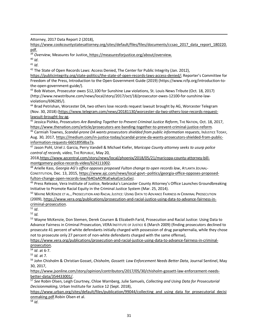Attorney, 2017 Data Report 2 (2018),

https://www.cookcountystatesattorney.org/sites/default/files/files/documents/ccsao\_2017\_data\_report\_180220. pdf.

<sup>39</sup> *Overview*, Measures for Justice<u>, https://measuresforjustice.org/about/overview.</u><br><sup>40</sup> *Id*.<br><sup>42</sup> The State of Open Records Laws: Access Denied, The Center for Public Integrity (Jan. 2012),<br><sup>42</sup> The State of Open Rec

 $\overline{a}$ 

https://publicintegrity.org/state-politics/the-state-of-open-records-laws-access-denied/; Reporter's Committee for Freedom of the Press, Introduction to the Open Government Guide (2019) (https://www.rcfp.org/introduction-tothe-open-government-guide/).

<sup>43</sup> Bob Watson, Prosecutor owes \$12,100 for Sunshine Law violations, St. Louis News Tribute (Oct. 18, 2017) (http://www.newstribune.com/news/local/story/2017/oct/18/prosecutor-owes-12100-for-sunshine-lawviolations/696285/).

<sup>44</sup> Brad Petrishan, Worcester DA, two others lose records request lawsuit brought by AG, Worcester Telegram (Nov. 30, 2018) (https://www.telegram.com/news/20181130/worcester-da-two-others-lose-records-request-

lawsuit-brought-by-ag.<br><sup>45</sup> Jessica Pishko, *Prosecutors Are Banding Together to Prevent Criminal Justice Reform*, THE NATION, Oct. 18, 2017,<br>https://www.thenation.com/article/prosecutors-are-banding-together-to-prevent-cr

https://www.thenation.com/article/prosecutors-are-banding-together-to-prevent-criminal-justice-reform. 46 Carmiah Townes, *Scandal-prone DA wants prosecutors shielded from public information requests*, INJUSTICE TODAY, Aug. 30, 2017, https://medium.com/in-justice-today/scandal-prone-da-wants-prosecutors-shielded-from-public-

information-requests-66018958ba7a.<br><sup>47</sup> Jason Pohl, Uriel J. Garcia, Perry Vandell & Michael Kiefer, *Maricopa County attorney seeks to usurp police control of records, video*, THE REPUBLIC, May 20,

2018,https://www.azcentral.com/story/news/local/phoenix/2018/05/21/maricopa-county-attorney-bill-

montgomery-police-records-video/624111002.<br><sup>48</sup> Arielle Kass, *Georgia AG's office opposes proposed Fulton change to open records law, ATLANTA JOUNAL-*CONSTITUTION, Dec. 13, 2015, https://www.ajc.com/news/local-govt--politics/georgia-office-opposes-proposed-

fulton-change-open-records-law/l64OaAOfKaEwkaEze1uGeJ.<br><sup>49</sup> Press Release, Vera Institute of Justice, Nebraska's Lancaster County Attorney's Office Launches Groundbreaking Initiative to Promote Racial Equity in the Criminal Justice System (Mar. 25, 2014).

<sup>50</sup> Wayne McKenzie et al., Prosecution and Racial Justice: Using Data to Advance Fairness in Criminal Prosecution (2009), https://www.vera.org/publications/prosecution-and-racial-justice-using-data-to-advance-fairness-incriminal-prosecution. 51 *Id*.

<sup>52</sup> *Id.*

<sup>53</sup> Wayne McKenzie, Don Stemen, Derek Coursen & Elizabeth Farid, Prosecution and Racial Justice: Using Data to Advance Fairness in Criminal Prosecution, VERA INSTITUTE OF JUSTICE 6 (March 2009) (finding prosecutors declined to prosecute 41 percent of white defendants initially charged with possession of drug paraphernalia, while they chose not to prosecute only 27 percent of non-white defendants charged with the same offense),

https://www.vera.org/publications/prosecution-and-racial-justice-using-data-to-advance-fairness-in-criminalprosecution.

<sup>54</sup> *Id*. at 6-7.

<sup>55</sup> *Id.* at 7.

<sup>56</sup> John Chisholm & Christian Gosset, *Chisholm, Gossett: Law Enforcement Needs Better Data*, Journal Sentinel, May 30, 2017,

https://www.jsonline.com/story/opinion/contributors/2017/05/30/chisholm-gossett-law-enforcement-needsbetter-data/354433001/. 57 *See* Robin Olsen, Leigh Courtney, Chloe Warnberg, Julie Samuels, *Collecting and Using Data for Prosecutorial* 

*Decisionmaking*, Urban Institute for Justice 12 (Sept. 2018),

https://www.urban.org/sites/default/files/publication/99044/collecting and using data for prosecutorial decisi onmaking.pdf.Robin Olsen et al.

 $\overline{\frac{58}{10}}$ .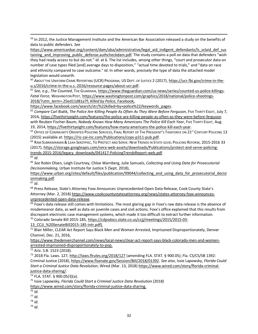<sup>59</sup> In 2012, the Justice Management Institute and the American Bar Association released a study on the benefits of data to public defenders. *See*

https://www.americanbar.org/content/dam/aba/administrative/legal aid indigent defendants/ls sclaid def sus taining\_and\_improving\_public\_defense.authcheckdam.pdf. The study contains a poll on data that defenders "wish they had ready access to but do not." *Id*. at 6. The list includes, among other things, "court and prosecutor data on number of case types filed [and] average days to disposition," "actual time devoted to trials," and "data on race and ethnicity compared to case outcome." *Id*. In other words, precisely the type of data the attached model legislation would unearth.

<sup>60</sup> ABOUT THE UNIFORM CRIME REPORTING (UCR) PROGRAM, US DEPT. OF JUSTICE 2 (2017), https://ucr.fbi.gov/crime-in-theu.s/2016/crime-in-the-u.s.-2016/resource-pages/about-ucr.pdf.<br><sup>61</sup> See, e.g., *The Counted*, THE GUARDIAN, https://www.theguardian.com/us-news/series/counted-us-police-killings;

*Fatal Force*, WASHINGTON POST, https://www.washingtonpost.com/graphics/2018/national/police-shootings-2018/?utm\_term=.25ed11d81a7f; *Killed by Police*, Facebook,

https://www.facebook.com/search/str/%22killed+by+police%22/keywords\_pages.

62 *Compare Carl Bialik, The Police Are Killing People As Often As They Were Before Ferguson, FIVE THIRTY EIGHT, July 7,* 2016, https://fivethirtyeight.com/features/the-police-are-killing-people-as-often-as-they-were-before-ferguson *with* Reuben Fischer-Baum, *Nobody Knows How Many Americans The Police Kill Each Year*, FIVE THIRTY EIGHT, Aug. 19, 2014, https://fivethirtyeight.com/features/how-many-americans-the-police-kill-each-year.

63 OFFICE OF COMMUNITY ORIENTED POLICING SERVICES, FINAL REPORT OF THE PRESIDENT'S TASKFORCE ON 21<sup>ST</sup> CENTURY POLICING 13 (2015) available at: https://ric-zai-inc.com/Publications/cops-p311-pub.pdf.<br><sup>64</sup> RAM SUBRAMANIAN & LEAH SKRZYPIEC, TO PROTECT AND SERVE: NEW TRENDS IN STATE-LEVEL POLICING REFORM, 2015-2016 33

(2017), https://storage.googleapis.com/vera-web-assets/downloads/Publications/protect-and-serve-policingtrends-2015-2016/legacy\_downloads/041417-PolicingTrendsReport-web.pdf.<br><sup>65</sup> *Id.* 65 *Id.* 66 *See* Robin Olsen, Leigh Courtney, Chloe Warnberg, Julie Samuels, *Collecting and Using Data for Prosecutorial* 

*Decisionmaking*, Urban Institute for Justice 5 (Sept. 2018),

https://www.urban.org/sites/default/files/publication/99044/collecting and using data for prosecutorial decisi onmaking.pdf.

<sup>67</sup> *Id*.

<sup>68</sup> Press Release, State's Attorney Foxx Announces Unprecedented Open Data Release, Cook County State's Attorney (Mar. 2, 2018) https://www.cookcountystatesattorney.org/news/states-attorney-foxx-announcesunprecedented-open-data-release.

 $69$  Foxx's data release still comes with limitations. The most glaring gap in Foxx's raw data release is the absence of misdemeanor data, as well as data on juvenile cases and civil actions. Foxx's office explained that this results from discrepant electronic case management systems, which made it too difficult to extract further information.<br><sup>70</sup> Colorado Senate Bill 2015-185, https://cdpsdocs.state.co.us/ccjj/meetings/2015/2015-03-

13\_CCJJ\_%20SenateBill2015-185-intr.pdf).<br><sup>71</sup> Blair Miller, CLEAR Act Report Says Black Men and Women Arrested, Imprisoned Disproportionately, Denver Channel, Dec. 21, 2016,

https://www.thedenverchannel.com/news/local-news/clear-act-report-says-black-colorado-men-and-womenarrested-imprisoned-disproportionately-to-pop.<br><sup>72</sup> Ariz. S.B. 1523 (2018).

<sup>73</sup> 2018 Fla. Laws. 127, http://laws.flrules.org/2018/127 (amending FLA. STAT. § 900.05); Fla. CS/CS/SB 1392: Criminal Justice (2018), https://www.flsenate.gov/Session/Bill/2018/01392. *See also*, Issie Lapowsky, *Florida Could Start a Criminal Justice Data Revolution*, Wired (Mar. 13, 2018) https://www.wired.com/story/florida-criminaljustice-data-sharing/.<br><sup>74</sup> FLA. STAT. § 900.05(3)(a).

<sup>75</sup> Issie Lapowsky, *Florida Could Start a Criminal Justice Data Revolution* (2018)

https://www.wired.com/story/florida-criminal-justice-data-sharing.

- $\frac{1}{76}$  *Id.*
- <sup>77</sup> *Id.*

<sup>78</sup> *Id.*

<sup>79</sup> *Id.*